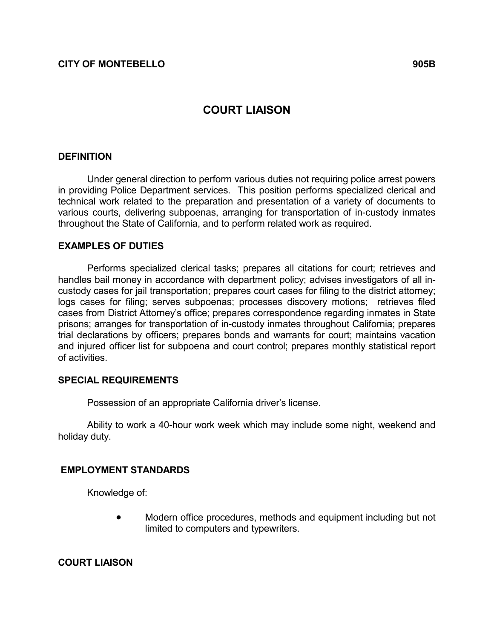# COURT LIAISON

# **DEFINITION**

 Under general direction to perform various duties not requiring police arrest powers in providing Police Department services. This position performs specialized clerical and technical work related to the preparation and presentation of a variety of documents to various courts, delivering subpoenas, arranging for transportation of in-custody inmates throughout the State of California, and to perform related work as required.

### EXAMPLES OF DUTIES

 Performs specialized clerical tasks; prepares all citations for court; retrieves and handles bail money in accordance with department policy; advises investigators of all incustody cases for jail transportation; prepares court cases for filing to the district attorney; logs cases for filing; serves subpoenas; processes discovery motions; retrieves filed cases from District Attorney's office; prepares correspondence regarding inmates in State prisons; arranges for transportation of in-custody inmates throughout California; prepares trial declarations by officers; prepares bonds and warrants for court; maintains vacation and injured officer list for subpoena and court control; prepares monthly statistical report of activities.

#### SPECIAL REQUIREMENTS

Possession of an appropriate California driver's license.

 Ability to work a 40-hour work week which may include some night, weekend and holiday duty.

# EMPLOYMENT STANDARDS

Knowledge of:

• Modern office procedures, methods and equipment including but not limited to computers and typewriters.

COURT LIAISON